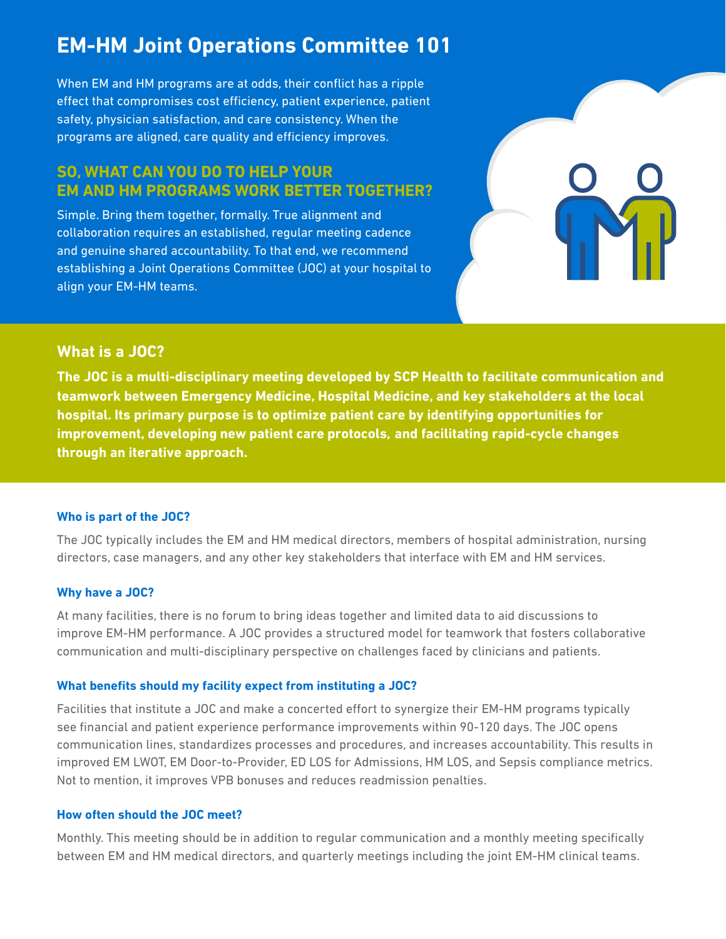# **EM-HM Joint Operations Committee 101**

When EM and HM programs are at odds, their conflict has a ripple effect that compromises cost efficiency, patient experience, patient safety, physician satisfaction, and care consistency. When the programs are aligned, care quality and efficiency improves.

## **SO, WHAT CAN YOU DO TO HELP YOUR EM AND HM PROGRAMS WORK BETTER TOGETHER?**

Simple. Bring them together, formally. True alignment and collaboration requires an established, regular meeting cadence and genuine shared accountability. To that end, we recommend establishing a Joint Operations Committee (JOC) at your hospital to align your EM-HM teams.

## **What is a JOC?**

**The JOC is a multi-disciplinary meeting developed by SCP Health to facilitate communication and teamwork between Emergency Medicine, Hospital Medicine, and key stakeholders at the local hospital. Its primary purpose is to optimize patient care by identifying opportunities for improvement, developing new patient care protocols, and facilitating rapid-cycle changes through an iterative approach.** 

### **Who is part of the JOC?**

The JOC typically includes the EM and HM medical directors, members of hospital administration, nursing directors, case managers, and any other key stakeholders that interface with EM and HM services.

#### **Why have a JOC?**

At many facilities, there is no forum to bring ideas together and limited data to aid discussions to improve EM-HM performance. A JOC provides a structured model for teamwork that fosters collaborative communication and multi-disciplinary perspective on challenges faced by clinicians and patients.

#### **What benefits should my facility expect from instituting a JOC?**

Facilities that institute a JOC and make a concerted efort to synergize their EM-HM programs typically see financial and patient experience performance improvements within 90-120 days. The JOC opens communication lines, standardizes processes and procedures, and increases accountability. This results in improved EM LWOT, EM Door-to-Provider, ED LOS for Admissions, HM LOS, and Sepsis compliance metrics. Not to mention, it improves VPB bonuses and reduces readmission penalties.

#### **How often should the JOC meet?**

Monthly. This meeting should be in addition to regular communication and a monthly meeting specifically between EM and HM medical directors, and quarterly meetings including the joint EM-HM clinical teams.